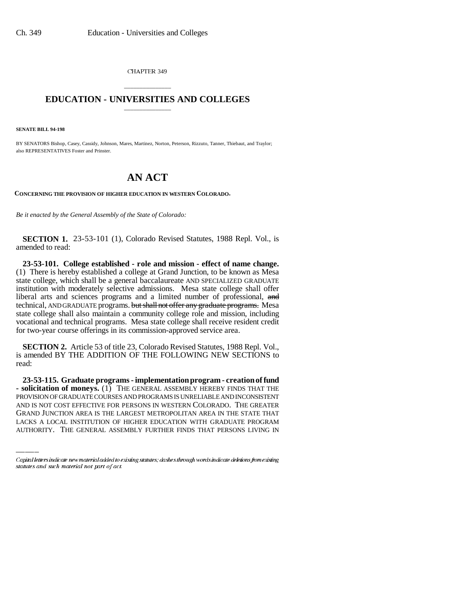CHAPTER 349

## \_\_\_\_\_\_\_\_\_\_\_\_\_\_\_ **EDUCATION - UNIVERSITIES AND COLLEGES** \_\_\_\_\_\_\_\_\_\_\_\_\_\_\_

**SENATE BILL 94-198**

BY SENATORS Bishop, Casey, Cassidy, Johnson, Mares, Martinez, Norton, Peterson, Rizzuto, Tanner, Thiebaut, and Traylor; also REPRESENTATIVES Foster and Prinster.

## **AN ACT**

**CONCERNING THE PROVISION OF HIGHER EDUCATION IN WESTERN COLORADO.**

*Be it enacted by the General Assembly of the State of Colorado:*

**SECTION 1.** 23-53-101 (1), Colorado Revised Statutes, 1988 Repl. Vol., is amended to read:

**23-53-101. College established - role and mission - effect of name change.** (1) There is hereby established a college at Grand Junction, to be known as Mesa state college, which shall be a general baccalaureate AND SPECIALIZED GRADUATE institution with moderately selective admissions. Mesa state college shall offer liberal arts and sciences programs and a limited number of professional, and technical, AND GRADUATE programs. but shall not offer any graduate programs. Mesa state college shall also maintain a community college role and mission, including vocational and technical programs. Mesa state college shall receive resident credit for two-year course offerings in its commission-approved service area.

**SECTION 2.** Article 53 of title 23, Colorado Revised Statutes, 1988 Repl. Vol., is amended BY THE ADDITION OF THE FOLLOWING NEW SECTIONS to read:

PROVISION OF GRADUATE COURSES AND PROGRAMS IS UNRELIABLE AND INCONSISTENT **23-53-115. Graduate programs - implementation program - creation of fund - solicitation of moneys.** (1) THE GENERAL ASSEMBLY HEREBY FINDS THAT THE AND IS NOT COST EFFECTIVE FOR PERSONS IN WESTERN COLORADO. THE GREATER GRAND JUNCTION AREA IS THE LARGEST METROPOLITAN AREA IN THE STATE THAT LACKS A LOCAL INSTITUTION OF HIGHER EDUCATION WITH GRADUATE PROGRAM AUTHORITY. THE GENERAL ASSEMBLY FURTHER FINDS THAT PERSONS LIVING IN

Capital letters indicate new material added to existing statutes; dashes through words indicate deletions from existing statutes and such material not part of act.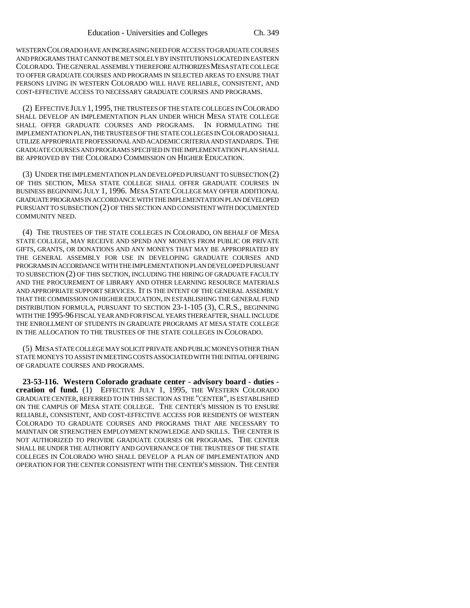WESTERN COLORADO HAVE AN INCREASING NEED FOR ACCESS TO GRADUATE COURSES AND PROGRAMS THAT CANNOT BE MET SOLELY BY INSTITUTIONS LOCATED IN EASTERN COLORADO. THE GENERAL ASSEMBLY THEREFORE AUTHORIZES MESA STATE COLLEGE TO OFFER GRADUATE COURSES AND PROGRAMS IN SELECTED AREAS TO ENSURE THAT PERSONS LIVING IN WESTERN COLORADO WILL HAVE RELIABLE, CONSISTENT, AND COST-EFFECTIVE ACCESS TO NECESSARY GRADUATE COURSES AND PROGRAMS.

(2) EFFECTIVE JULY 1,1995, THE TRUSTEES OF THE STATE COLLEGES IN COLORADO SHALL DEVELOP AN IMPLEMENTATION PLAN UNDER WHICH MESA STATE COLLEGE SHALL OFFER GRADUATE COURSES AND PROGRAMS. IN FORMULATING THE IMPLEMENTATION PLAN, THE TRUSTEES OF THE STATE COLLEGES IN COLORADO SHALL UTILIZE APPROPRIATE PROFESSIONAL AND ACADEMIC CRITERIA AND STANDARDS. THE GRADUATE COURSES AND PROGRAMS SPECIFIED IN THE IMPLEMENTATION PLAN SHALL BE APPROVED BY THE COLORADO COMMISSION ON HIGHER EDUCATION.

(3) UNDER THE IMPLEMENTATION PLAN DEVELOPED PURSUANT TO SUBSECTION (2) OF THIS SECTION, MESA STATE COLLEGE SHALL OFFER GRADUATE COURSES IN BUSINESS BEGINNING JULY 1, 1996. MESA STATE COLLEGE MAY OFFER ADDITIONAL GRADUATE PROGRAMS IN ACCORDANCE WITH THE IMPLEMENTATION PLAN DEVELOPED PURSUANT TO SUBSECTION (2) OF THIS SECTION AND CONSISTENT WITH DOCUMENTED COMMUNITY NEED.

(4) THE TRUSTEES OF THE STATE COLLEGES IN COLORADO, ON BEHALF OF MESA STATE COLLEGE, MAY RECEIVE AND SPEND ANY MONEYS FROM PUBLIC OR PRIVATE GIFTS, GRANTS, OR DONATIONS AND ANY MONEYS THAT MAY BE APPROPRIATED BY THE GENERAL ASSEMBLY FOR USE IN DEVELOPING GRADUATE COURSES AND PROGRAMS IN ACCORDANCE WITH THE IMPLEMENTATION PLAN DEVELOPED PURSUANT TO SUBSECTION (2) OF THIS SECTION, INCLUDING THE HIRING OF GRADUATE FACULTY AND THE PROCUREMENT OF LIBRARY AND OTHER LEARNING RESOURCE MATERIALS AND APPROPRIATE SUPPORT SERVICES. IT IS THE INTENT OF THE GENERAL ASSEMBLY THAT THE COMMISSION ON HIGHER EDUCATION, IN ESTABLISHING THE GENERAL FUND DISTRIBUTION FORMULA, PURSUANT TO SECTION 23-1-105 (3), C.R.S., BEGINNING WITH THE 1995-96 FISCAL YEAR AND FOR FISCAL YEARS THEREAFTER, SHALL INCLUDE THE ENROLLMENT OF STUDENTS IN GRADUATE PROGRAMS AT MESA STATE COLLEGE IN THE ALLOCATION TO THE TRUSTEES OF THE STATE COLLEGES IN COLORADO.

(5) MESA STATE COLLEGE MAY SOLICIT PRIVATE AND PUBLIC MONEYS OTHER THAN STATE MONEYS TO ASSIST IN MEETING COSTS ASSOCIATED WITH THE INITIAL OFFERING OF GRADUATE COURSES AND PROGRAMS.

**23-53-116. Western Colorado graduate center - advisory board - duties creation of fund.** (1) EFFECTIVE JULY 1, 1995, THE WESTERN COLORADO GRADUATE CENTER, REFERRED TO IN THIS SECTION AS THE "CENTER", IS ESTABLISHED ON THE CAMPUS OF MESA STATE COLLEGE. THE CENTER'S MISSION IS TO ENSURE RELIABLE, CONSISTENT, AND COST-EFFECTIVE ACCESS FOR RESIDENTS OF WESTERN COLORADO TO GRADUATE COURSES AND PROGRAMS THAT ARE NECESSARY TO MAINTAIN OR STRENGTHEN EMPLOYMENT KNOWLEDGE AND SKILLS. THE CENTER IS NOT AUTHORIZED TO PROVIDE GRADUATE COURSES OR PROGRAMS. THE CENTER SHALL BE UNDER THE AUTHORITY AND GOVERNANCE OF THE TRUSTEES OF THE STATE COLLEGES IN COLORADO WHO SHALL DEVELOP A PLAN OF IMPLEMENTATION AND OPERATION FOR THE CENTER CONSISTENT WITH THE CENTER'S MISSION. THE CENTER